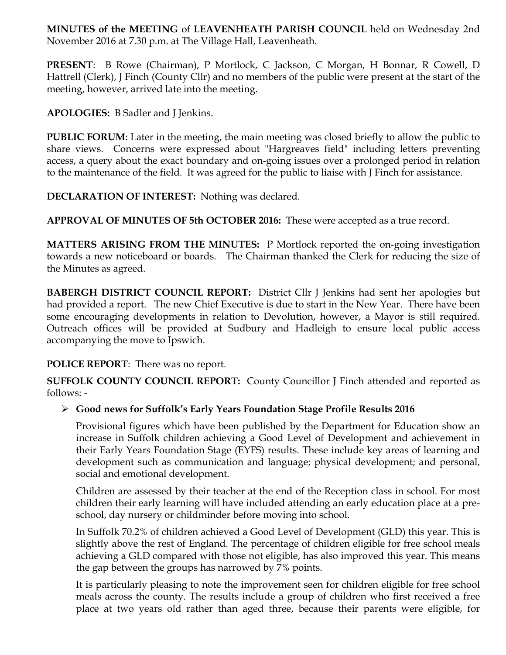**MINUTES of the MEETING** of **LEAVENHEATH PARISH COUNCIL** held on Wednesday 2nd November 2016 at 7.30 p.m. at The Village Hall, Leavenheath.

**PRESENT**: B Rowe (Chairman), P Mortlock, C Jackson, C Morgan, H Bonnar, R Cowell, D Hattrell (Clerk), J Finch (County Cllr) and no members of the public were present at the start of the meeting, however, arrived late into the meeting.

**APOLOGIES:** B Sadler and J Jenkins.

**PUBLIC FORUM:** Later in the meeting, the main meeting was closed briefly to allow the public to share views. Concerns were expressed about "Hargreaves field" including letters preventing access, a query about the exact boundary and on-going issues over a prolonged period in relation to the maintenance of the field. It was agreed for the public to liaise with J Finch for assistance.

**DECLARATION OF INTEREST:** Nothing was declared.

**APPROVAL OF MINUTES OF 5th OCTOBER 2016:** These were accepted as a true record.

**MATTERS ARISING FROM THE MINUTES:** P Mortlock reported the on-going investigation towards a new noticeboard or boards. The Chairman thanked the Clerk for reducing the size of the Minutes as agreed.

**BABERGH DISTRICT COUNCIL REPORT:** District Cllr J Jenkins had sent her apologies but had provided a report. The new Chief Executive is due to start in the New Year. There have been some encouraging developments in relation to Devolution, however, a Mayor is still required. Outreach offices will be provided at Sudbury and Hadleigh to ensure local public access accompanying the move to Ipswich.

## **POLICE REPORT**: There was no report.

**SUFFOLK COUNTY COUNCIL REPORT:** County Councillor J Finch attended and reported as follows: -

## Ø **Good news for Suffolk's Early Years Foundation Stage Profile Results 2016**

Provisional figures which have been published by the Department for Education show an increase in Suffolk children achieving a Good Level of Development and achievement in their Early Years Foundation Stage (EYFS) results. These include key areas of learning and development such as communication and language; physical development; and personal, social and emotional development.

Children are assessed by their teacher at the end of the Reception class in school. For most children their early learning will have included attending an early education place at a preschool, day nursery or childminder before moving into school.

In Suffolk 70.2% of children achieved a Good Level of Development (GLD) this year. This is slightly above the rest of England. The percentage of children eligible for free school meals achieving a GLD compared with those not eligible, has also improved this year. This means the gap between the groups has narrowed by 7% points.

It is particularly pleasing to note the improvement seen for children eligible for free school meals across the county. The results include a group of children who first received a free place at two years old rather than aged three, because their parents were eligible, for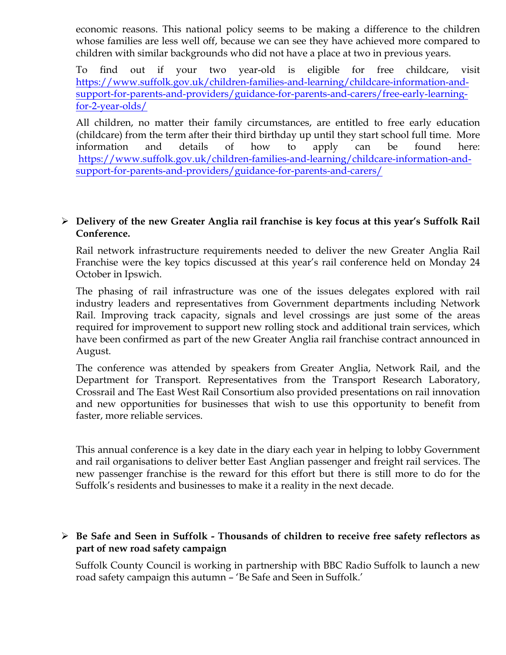economic reasons. This national policy seems to be making a difference to the children whose families are less well off, because we can see they have achieved more compared to children with similar backgrounds who did not have a place at two in previous years.

To find out if your two year-old is eligible for free childcare, visit https://www.suffolk.gov.uk/children-families-and-learning/childcare-information-andsupport-for-parents-and-providers/guidance-for-parents-and-carers/free-early-learningfor-2-year-olds/

All children, no matter their family circumstances, are entitled to free early education (childcare) from the term after their third birthday up until they start school full time. More information and details of how to apply can be found here: https://www.suffolk.gov.uk/children-families-and-learning/childcare-information-andsupport-for-parents-and-providers/guidance-for-parents-and-carers/

## Ø **Delivery of the new Greater Anglia rail franchise is key focus at this year's Suffolk Rail Conference.**

Rail network infrastructure requirements needed to deliver the new Greater Anglia Rail Franchise were the key topics discussed at this year's rail conference held on Monday 24 October in Ipswich.

The phasing of rail infrastructure was one of the issues delegates explored with rail industry leaders and representatives from Government departments including Network Rail. Improving track capacity, signals and level crossings are just some of the areas required for improvement to support new rolling stock and additional train services, which have been confirmed as part of the new Greater Anglia rail franchise contract announced in August.

The conference was attended by speakers from Greater Anglia, Network Rail, and the Department for Transport. Representatives from the Transport Research Laboratory, Crossrail and The East West Rail Consortium also provided presentations on rail innovation and new opportunities for businesses that wish to use this opportunity to benefit from faster, more reliable services.

This annual conference is a key date in the diary each year in helping to lobby Government and rail organisations to deliver better East Anglian passenger and freight rail services. The new passenger franchise is the reward for this effort but there is still more to do for the Suffolk's residents and businesses to make it a reality in the next decade.

## Ø **Be Safe and Seen in Suffolk - Thousands of children to receive free safety reflectors as part of new road safety campaign**

Suffolk County Council is working in partnership with BBC Radio Suffolk to launch a new road safety campaign this autumn – 'Be Safe and Seen in Suffolk.'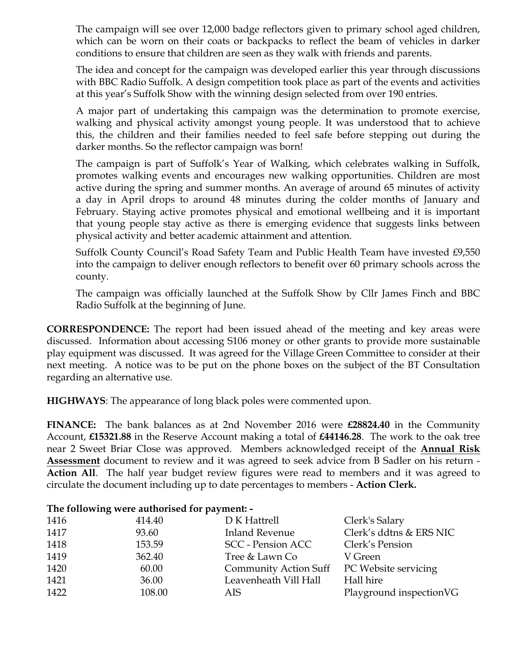The campaign will see over 12,000 badge reflectors given to primary school aged children, which can be worn on their coats or backpacks to reflect the beam of vehicles in darker conditions to ensure that children are seen as they walk with friends and parents.

The idea and concept for the campaign was developed earlier this year through discussions with BBC Radio Suffolk. A design competition took place as part of the events and activities at this year's Suffolk Show with the winning design selected from over 190 entries.

A major part of undertaking this campaign was the determination to promote exercise, walking and physical activity amongst young people. It was understood that to achieve this, the children and their families needed to feel safe before stepping out during the darker months. So the reflector campaign was born!

The campaign is part of Suffolk's Year of Walking, which celebrates walking in Suffolk, promotes walking events and encourages new walking opportunities. Children are most active during the spring and summer months. An average of around 65 minutes of activity a day in April drops to around 48 minutes during the colder months of January and February. Staying active promotes physical and emotional wellbeing and it is important that young people stay active as there is emerging evidence that suggests links between physical activity and better academic attainment and attention.

Suffolk County Council's Road Safety Team and Public Health Team have invested £9,550 into the campaign to deliver enough reflectors to benefit over 60 primary schools across the county.

The campaign was officially launched at the Suffolk Show by Cllr James Finch and BBC Radio Suffolk at the beginning of June.

**CORRESPONDENCE:** The report had been issued ahead of the meeting and key areas were discussed. Information about accessing S106 money or other grants to provide more sustainable play equipment was discussed. It was agreed for the Village Green Committee to consider at their next meeting. A notice was to be put on the phone boxes on the subject of the BT Consultation regarding an alternative use.

**HIGHWAYS**: The appearance of long black poles were commented upon.

**FINANCE:** The bank balances as at 2nd November 2016 were **£28824.40** in the Community Account, **£15321.88** in the Reserve Account making a total of **£44146.28**. The work to the oak tree near 2 Sweet Briar Close was approved. Members acknowledged receipt of the **Annual Risk Assessment** document to review and it was agreed to seek advice from B Sadler on his return - **Action All**. The half year budget review figures were read to members and it was agreed to circulate the document including up to date percentages to members - **Action Clerk.**

### **The following were authorised for payment: -**

| 1416 | 414.40 | D K Hattrell                 | Clerk's Salary          |
|------|--------|------------------------------|-------------------------|
| 1417 | 93.60  | <b>Inland Revenue</b>        | Clerk's ddtns & ERS NIC |
| 1418 | 153.59 | <b>SCC</b> - Pension ACC     | Clerk's Pension         |
| 1419 | 362.40 | Tree & Lawn Co               | V Green                 |
| 1420 | 60.00  | <b>Community Action Suff</b> | PC Website servicing    |
| 1421 | 36.00  | Leavenheath Vill Hall        | Hall hire               |
| 1422 | 108.00 | AIS                          | Playground inspectionVG |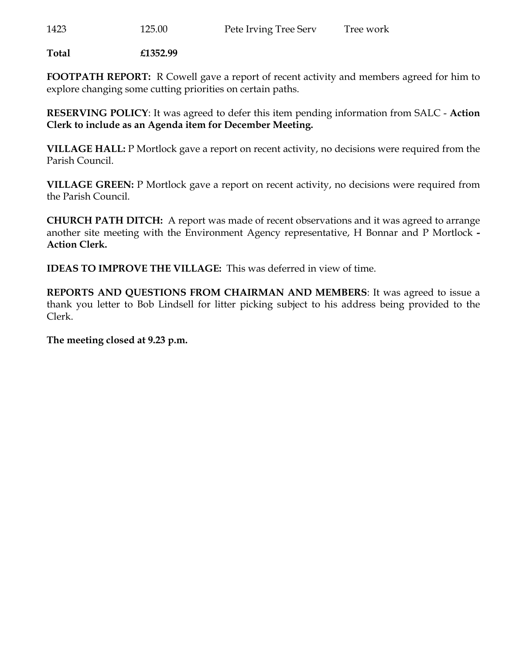**Total £1352.99**

**FOOTPATH REPORT:** R Cowell gave a report of recent activity and members agreed for him to explore changing some cutting priorities on certain paths.

**RESERVING POLICY**: It was agreed to defer this item pending information from SALC - **Action Clerk to include as an Agenda item for December Meeting.** 

**VILLAGE HALL:** P Mortlock gave a report on recent activity, no decisions were required from the Parish Council.

**VILLAGE GREEN:** P Mortlock gave a report on recent activity, no decisions were required from the Parish Council.

**CHURCH PATH DITCH:** A report was made of recent observations and it was agreed to arrange another site meeting with the Environment Agency representative, H Bonnar and P Mortlock **- Action Clerk.** 

**IDEAS TO IMPROVE THE VILLAGE:** This was deferred in view of time.

**REPORTS AND QUESTIONS FROM CHAIRMAN AND MEMBERS**: It was agreed to issue a thank you letter to Bob Lindsell for litter picking subject to his address being provided to the Clerk.

**The meeting closed at 9.23 p.m.**